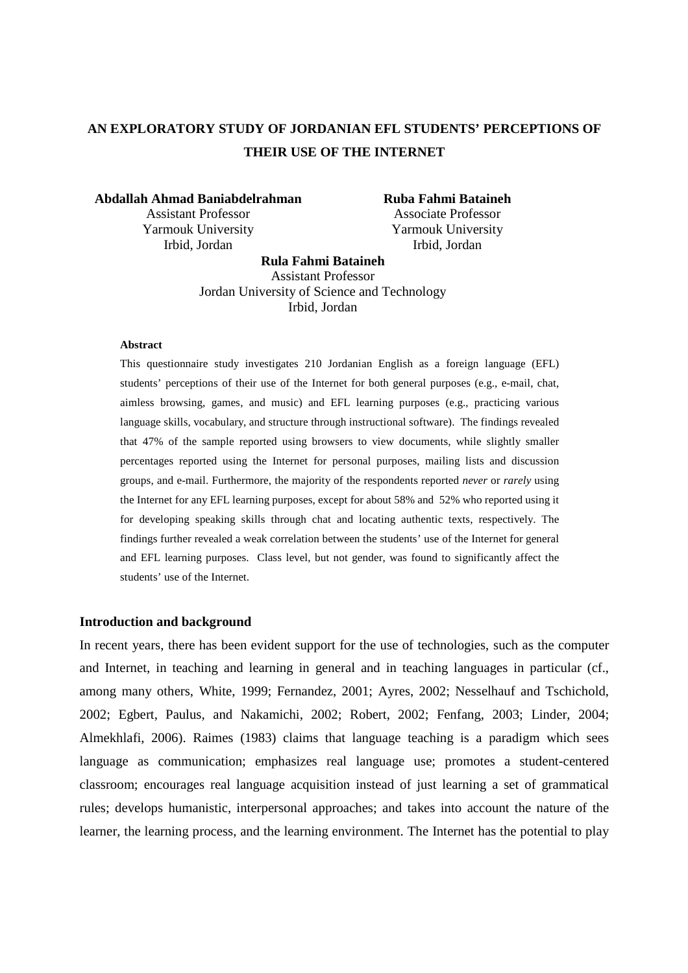# **AN EXPLORATORY STUDY OF JORDANIAN EFL STUDENTS' PERCEPTIONS OF THEIR USE OF THE INTERNET**

**Abdallah Ahmad Baniabdelrahman**  Assistant Professor Yarmouk University Irbid, Jordan

**Ruba Fahmi Bataineh**  Associate Professor Yarmouk University Irbid, Jordan

**Rula Fahmi Bataineh**  Assistant Professor Jordan University of Science and Technology Irbid, Jordan

#### **Abstract**

This questionnaire study investigates 210 Jordanian English as a foreign language (EFL) students' perceptions of their use of the Internet for both general purposes (e.g., e-mail, chat, aimless browsing, games, and music) and EFL learning purposes (e.g., practicing various language skills, vocabulary, and structure through instructional software). The findings revealed that 47% of the sample reported using browsers to view documents, while slightly smaller percentages reported using the Internet for personal purposes, mailing lists and discussion groups, and e-mail. Furthermore, the majority of the respondents reported *never* or *rarely* using the Internet for any EFL learning purposes, except for about 58% and 52% who reported using it for developing speaking skills through chat and locating authentic texts, respectively. The findings further revealed a weak correlation between the students' use of the Internet for general and EFL learning purposes. Class level, but not gender, was found to significantly affect the students' use of the Internet.

#### **Introduction and background**

In recent years, there has been evident support for the use of technologies, such as the computer and Internet, in teaching and learning in general and in teaching languages in particular (cf., among many others, White, 1999; Fernandez, 2001; Ayres, 2002; Nesselhauf and Tschichold, 2002; Egbert, Paulus, and Nakamichi, 2002; Robert, 2002; Fenfang, 2003; Linder, 2004; Almekhlafi, 2006). Raimes (1983) claims that language teaching is a paradigm which sees language as communication; emphasizes real language use; promotes a student-centered classroom; encourages real language acquisition instead of just learning a set of grammatical rules; develops humanistic, interpersonal approaches; and takes into account the nature of the learner, the learning process, and the learning environment. The Internet has the potential to play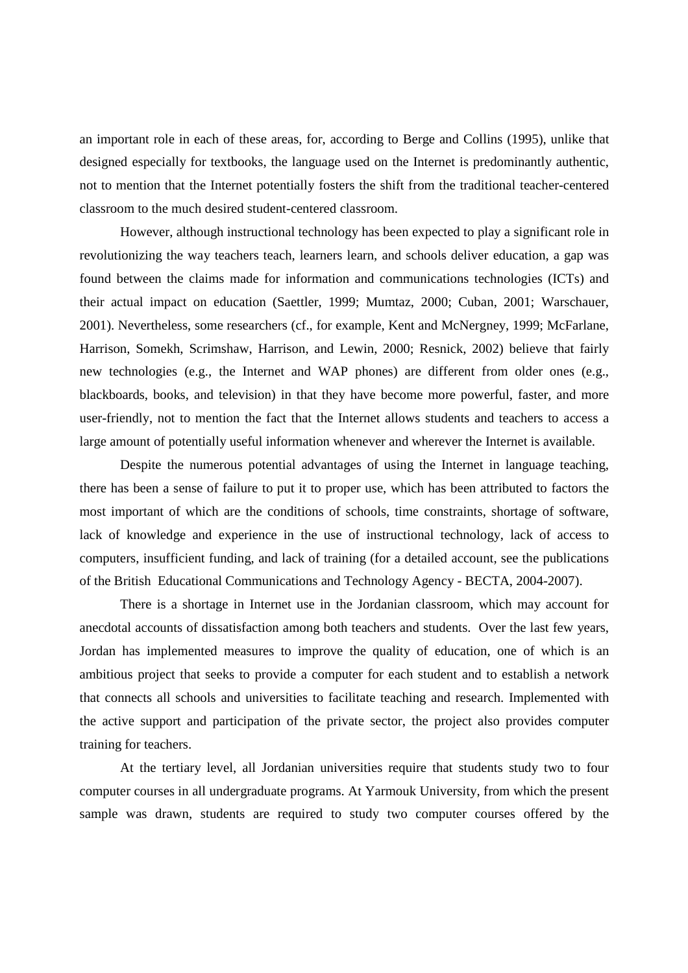an important role in each of these areas, for, according to Berge and Collins (1995), unlike that designed especially for textbooks, the language used on the Internet is predominantly authentic, not to mention that the Internet potentially fosters the shift from the traditional teacher-centered classroom to the much desired student-centered classroom.

However, although instructional technology has been expected to play a significant role in revolutionizing the way teachers teach, learners learn, and schools deliver education, a gap was found between the claims made for information and communications technologies (ICTs) and their actual impact on education (Saettler, 1999; Mumtaz, 2000; Cuban, 2001; Warschauer, 2001). Nevertheless, some researchers (cf., for example, Kent and McNergney, 1999; McFarlane, Harrison, Somekh, Scrimshaw, Harrison, and Lewin, 2000; Resnick, 2002) believe that fairly new technologies (e.g., the Internet and WAP phones) are different from older ones (e.g., blackboards, books, and television) in that they have become more powerful, faster, and more user-friendly, not to mention the fact that the Internet allows students and teachers to access a large amount of potentially useful information whenever and wherever the Internet is available.

Despite the numerous potential advantages of using the Internet in language teaching, there has been a sense of failure to put it to proper use, which has been attributed to factors the most important of which are the conditions of schools, time constraints, shortage of software, lack of knowledge and experience in the use of instructional technology, lack of access to computers, insufficient funding, and lack of training (for a detailed account, see the publications of the British Educational Communications and Technology Agency - BECTA, 2004-2007).

There is a shortage in Internet use in the Jordanian classroom, which may account for anecdotal accounts of dissatisfaction among both teachers and students. Over the last few years, Jordan has implemented measures to improve the quality of education, one of which is an ambitious project that seeks to provide a computer for each student and to establish a network that connects all schools and universities to facilitate teaching and research. Implemented with the active support and participation of the private sector, the project also provides computer training for teachers.

At the tertiary level, all Jordanian universities require that students study two to four computer courses in all undergraduate programs. At Yarmouk University, from which the present sample was drawn, students are required to study two computer courses offered by the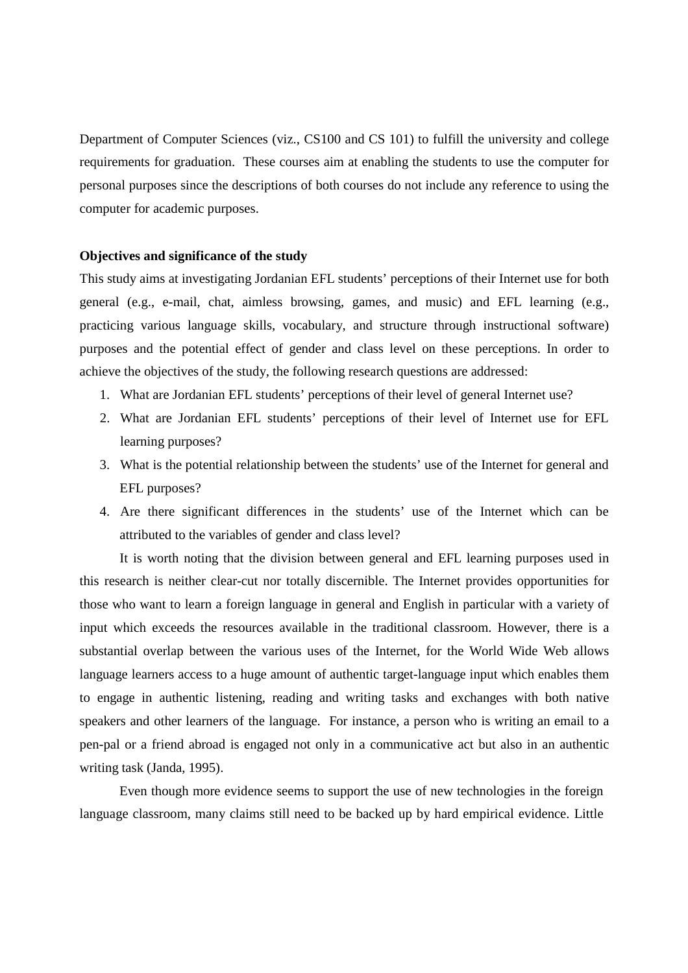Department of Computer Sciences (viz., CS100 and CS 101) to fulfill the university and college requirements for graduation. These courses aim at enabling the students to use the computer for personal purposes since the descriptions of both courses do not include any reference to using the computer for academic purposes.

#### **Objectives and significance of the study**

This study aims at investigating Jordanian EFL students' perceptions of their Internet use for both general (e.g., e-mail, chat, aimless browsing, games, and music) and EFL learning (e.g., practicing various language skills, vocabulary, and structure through instructional software) purposes and the potential effect of gender and class level on these perceptions. In order to achieve the objectives of the study, the following research questions are addressed:

- 1. What are Jordanian EFL students' perceptions of their level of general Internet use?
- 2. What are Jordanian EFL students' perceptions of their level of Internet use for EFL learning purposes?
- 3. What is the potential relationship between the students' use of the Internet for general and EFL purposes?
- 4. Are there significant differences in the students' use of the Internet which can be attributed to the variables of gender and class level?

It is worth noting that the division between general and EFL learning purposes used in this research is neither clear-cut nor totally discernible. The Internet provides opportunities for those who want to learn a foreign language in general and English in particular with a variety of input which exceeds the resources available in the traditional classroom. However, there is a substantial overlap between the various uses of the Internet, for the World Wide Web allows language learners access to a huge amount of authentic target-language input which enables them to engage in authentic listening, reading and writing tasks and exchanges with both native speakers and other learners of the language. For instance, a person who is writing an email to a pen-pal or a friend abroad is engaged not only in a communicative act but also in an authentic writing task (Janda, 1995).

 Even though more evidence seems to support the use of new technologies in the foreign language classroom, many claims still need to be backed up by hard empirical evidence. Little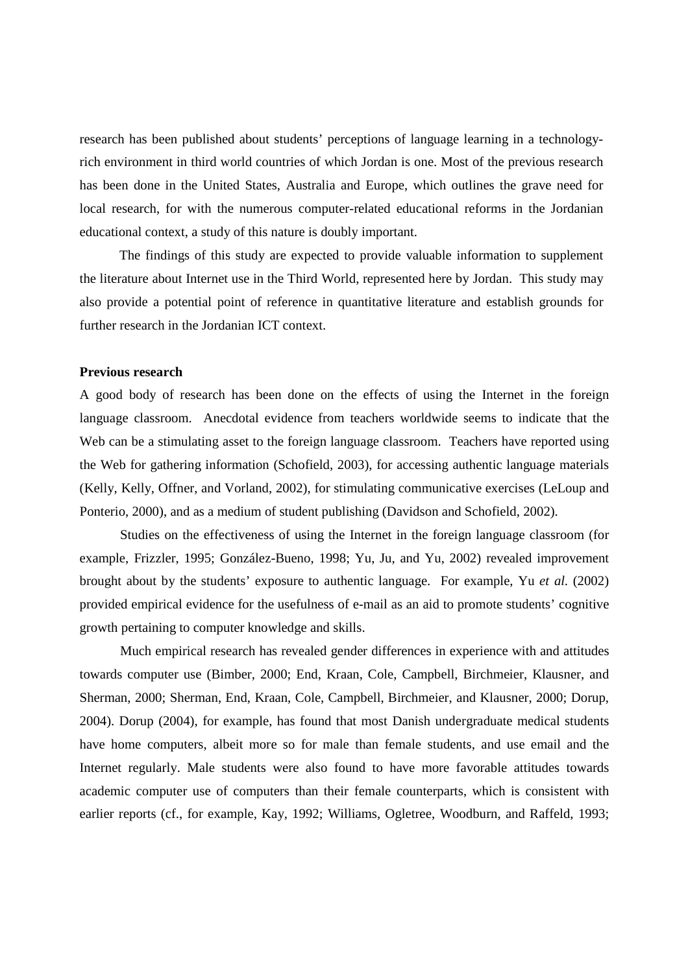research has been published about students' perceptions of language learning in a technologyrich environment in third world countries of which Jordan is one. Most of the previous research has been done in the United States, Australia and Europe, which outlines the grave need for local research, for with the numerous computer-related educational reforms in the Jordanian educational context, a study of this nature is doubly important.

 The findings of this study are expected to provide valuable information to supplement the literature about Internet use in the Third World, represented here by Jordan. This study may also provide a potential point of reference in quantitative literature and establish grounds for further research in the Jordanian ICT context.

# **Previous research**

A good body of research has been done on the effects of using the Internet in the foreign language classroom. Anecdotal evidence from teachers worldwide seems to indicate that the Web can be a stimulating asset to the foreign language classroom. Teachers have reported using the Web for gathering information (Schofield, 2003), for accessing authentic language materials (Kelly, Kelly, Offner, and Vorland, 2002), for stimulating communicative exercises (LeLoup and Ponterio, 2000), and as a medium of student publishing (Davidson and Schofield, 2002).

Studies on the effectiveness of using the Internet in the foreign language classroom (for example, Frizzler, 1995; González-Bueno, 1998; Yu, Ju, and Yu, 2002) revealed improvement brought about by the students' exposure to authentic language. For example, Yu *et al.* (2002) provided empirical evidence for the usefulness of e-mail as an aid to promote students' cognitive growth pertaining to computer knowledge and skills.

Much empirical research has revealed gender differences in experience with and attitudes towards computer use (Bimber, 2000; End, Kraan, Cole, Campbell, Birchmeier, Klausner, and Sherman, 2000; Sherman, End, Kraan, Cole, Campbell, Birchmeier, and Klausner, 2000; Dorup, 2004). Dorup (2004), for example, has found that most Danish undergraduate medical students have home computers, albeit more so for male than female students, and use email and the Internet regularly. Male students were also found to have more favorable attitudes towards academic computer use of computers than their female counterparts, which is consistent with earlier reports (cf., for example, Kay, 1992; Williams, Ogletree, Woodburn, and Raffeld, 1993;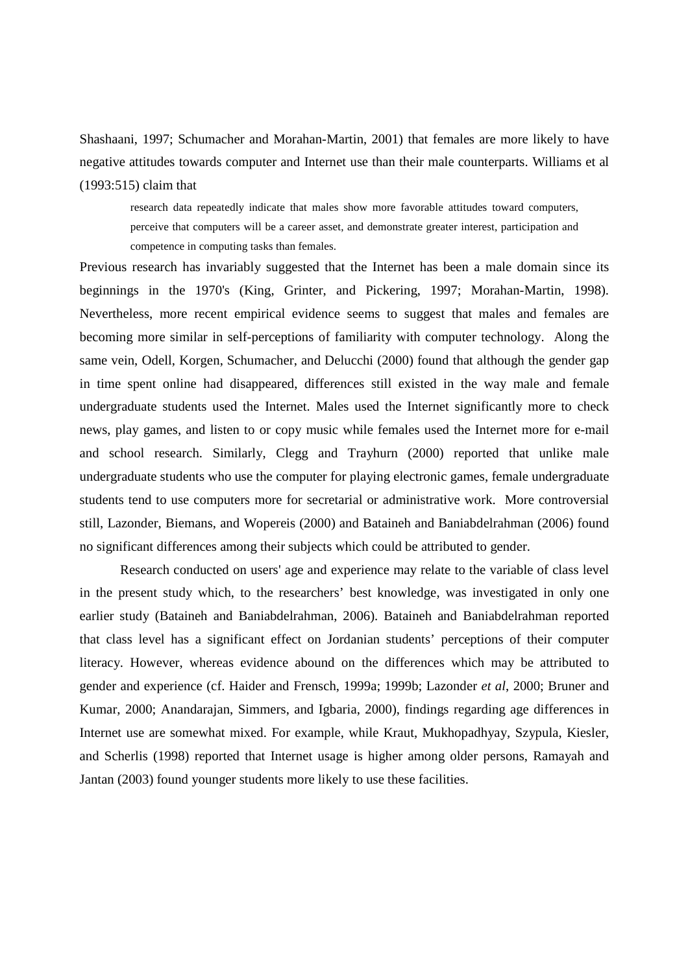Shashaani, 1997; Schumacher and Morahan-Martin, 2001) that females are more likely to have negative attitudes towards computer and Internet use than their male counterparts. Williams et al (1993:515) claim that

research data repeatedly indicate that males show more favorable attitudes toward computers, perceive that computers will be a career asset, and demonstrate greater interest, participation and competence in computing tasks than females.

Previous research has invariably suggested that the Internet has been a male domain since its beginnings in the 1970's (King, Grinter, and Pickering, 1997; Morahan-Martin, 1998). Nevertheless, more recent empirical evidence seems to suggest that males and females are becoming more similar in self-perceptions of familiarity with computer technology. Along the same vein, Odell, Korgen, Schumacher, and Delucchi (2000) found that although the gender gap in time spent online had disappeared, differences still existed in the way male and female undergraduate students used the Internet. Males used the Internet significantly more to check news, play games, and listen to or copy music while females used the Internet more for e-mail and school research. Similarly, Clegg and Trayhurn (2000) reported that unlike male undergraduate students who use the computer for playing electronic games, female undergraduate students tend to use computers more for secretarial or administrative work. More controversial still, Lazonder, Biemans, and Wopereis (2000) and Bataineh and Baniabdelrahman (2006) found no significant differences among their subjects which could be attributed to gender.

Research conducted on users' age and experience may relate to the variable of class level in the present study which, to the researchers' best knowledge, was investigated in only one earlier study (Bataineh and Baniabdelrahman, 2006). Bataineh and Baniabdelrahman reported that class level has a significant effect on Jordanian students' perceptions of their computer literacy. However, whereas evidence abound on the differences which may be attributed to gender and experience (cf. Haider and Frensch, 1999a; 1999b; Lazonder *et al*, 2000; Bruner and Kumar, 2000; Anandarajan, Simmers, and Igbaria, 2000), findings regarding age differences in Internet use are somewhat mixed. For example, while Kraut, Mukhopadhyay, Szypula, Kiesler, and Scherlis (1998) reported that Internet usage is higher among older persons, Ramayah and Jantan (2003) found younger students more likely to use these facilities.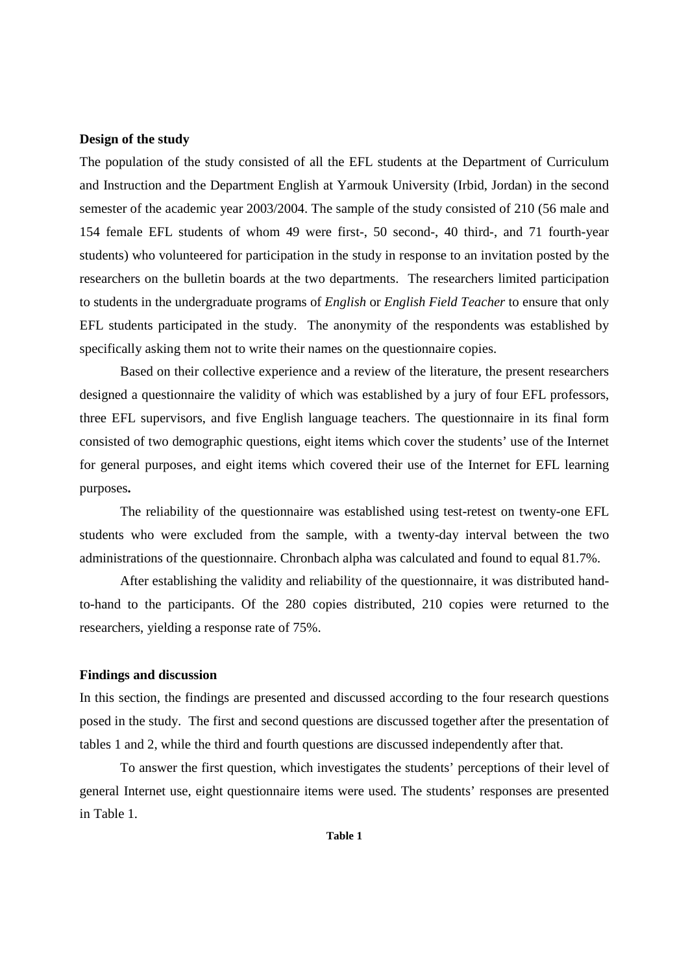# **Design of the study**

The population of the study consisted of all the EFL students at the Department of Curriculum and Instruction and the Department English at Yarmouk University (Irbid, Jordan) in the second semester of the academic year 2003/2004. The sample of the study consisted of 210 (56 male and 154 female EFL students of whom 49 were first-, 50 second-, 40 third-, and 71 fourth-year students) who volunteered for participation in the study in response to an invitation posted by the researchers on the bulletin boards at the two departments. The researchers limited participation to students in the undergraduate programs of *English* or *English Field Teacher* to ensure that only EFL students participated in the study. The anonymity of the respondents was established by specifically asking them not to write their names on the questionnaire copies.

Based on their collective experience and a review of the literature, the present researchers designed a questionnaire the validity of which was established by a jury of four EFL professors, three EFL supervisors, and five English language teachers. The questionnaire in its final form consisted of two demographic questions, eight items which cover the students' use of the Internet for general purposes, and eight items which covered their use of the Internet for EFL learning purposes**.**

The reliability of the questionnaire was established using test-retest on twenty-one EFL students who were excluded from the sample, with a twenty-day interval between the two administrations of the questionnaire. Chronbach alpha was calculated and found to equal 81.7%.

After establishing the validity and reliability of the questionnaire, it was distributed handto-hand to the participants. Of the 280 copies distributed, 210 copies were returned to the researchers, yielding a response rate of 75%.

# **Findings and discussion**

In this section, the findings are presented and discussed according to the four research questions posed in the study. The first and second questions are discussed together after the presentation of tables 1 and 2, while the third and fourth questions are discussed independently after that.

To answer the first question, which investigates the students' perceptions of their level of general Internet use, eight questionnaire items were used. The students' responses are presented in Table 1.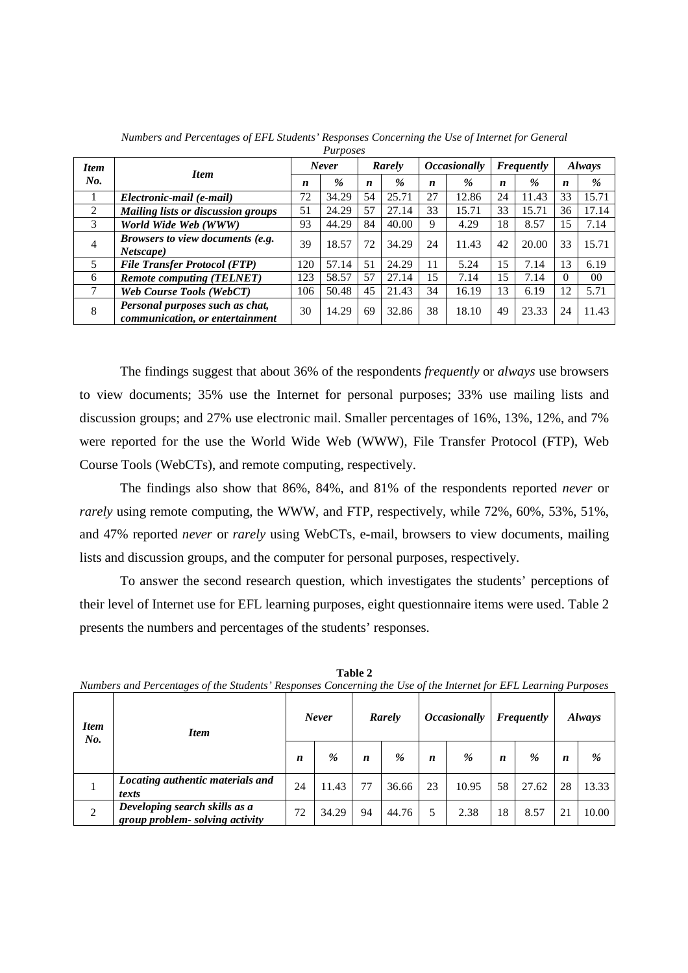|                | <i>L LU poscs</i>                                                  |     |              |    |                                                           |    |               |    |       |                  |                |
|----------------|--------------------------------------------------------------------|-----|--------------|----|-----------------------------------------------------------|----|---------------|----|-------|------------------|----------------|
| <b>Item</b>    | <b>Item</b>                                                        |     | <b>Never</b> |    | <i><b>Occasionally</b></i><br><b>Frequently</b><br>Rarely |    | <b>Always</b> |    |       |                  |                |
| No.            |                                                                    | n   | %            | n  | $\%$                                                      | n  | %             | n  | $\%$  | $\boldsymbol{n}$ | %              |
|                | Electronic-mail (e-mail)                                           | 72  | 34.29        | 54 | 25.71                                                     | 27 | 12.86         | 24 | 11.43 | 33               | 15.71          |
| 2              | <b>Mailing lists or discussion groups</b>                          | 51  | 24.29        | 57 | 27.14                                                     | 33 | 15.71         | 33 | 15.71 | 36               | 17.14          |
| 3              | World Wide Web (WWW)                                               | 93  | 44.29        | 84 | 40.00                                                     | 9  | 4.29          | 18 | 8.57  | 15               | 7.14           |
| $\overline{4}$ | <i>Browsers to view documents (e.g.</i>                            | 39  | 18.57        | 72 | 34.29                                                     | 24 | 11.43         | 42 | 20.00 | 33               | 15.71          |
|                | <i>Netscape</i> )                                                  |     |              |    |                                                           |    |               |    |       |                  |                |
| 5              | <b>File Transfer Protocol (FTP)</b>                                | 120 | 57.14        | 51 | 24.29                                                     | 11 | 5.24          | 15 | 7.14  | 13               | 6.19           |
| 6              | <b>Remote computing (TELNET)</b>                                   | 123 | 58.57        | 57 | 27.14                                                     | 15 | 7.14          | 15 | 7.14  | $\Omega$         | 0 <sup>0</sup> |
|                | <b>Web Course Tools (WebCT)</b>                                    | 106 | 50.48        | 45 | 21.43                                                     | 34 | 16.19         | 13 | 6.19  | 12               | 5.71           |
| 8              | Personal purposes such as chat,<br>communication, or entertainment | 30  | 14.29        | 69 | 32.86                                                     | 38 | 18.10         | 49 | 23.33 | 24               | 11.43          |
|                |                                                                    |     |              |    |                                                           |    |               |    |       |                  |                |

*Numbers and Percentages of EFL Students' Responses Concerning the Use of Internet for General Purposes* 

The findings suggest that about 36% of the respondents *frequently* or *always* use browsers to view documents; 35% use the Internet for personal purposes; 33% use mailing lists and discussion groups; and 27% use electronic mail. Smaller percentages of 16%, 13%, 12%, and 7% were reported for the use the World Wide Web (WWW), File Transfer Protocol (FTP), Web Course Tools (WebCTs), and remote computing, respectively.

The findings also show that 86%, 84%, and 81% of the respondents reported *never* or *rarely* using remote computing, the WWW, and FTP, respectively, while 72%, 60%, 53%, 51%, and 47% reported *never* or *rarely* using WebCTs, e-mail, browsers to view documents, mailing lists and discussion groups, and the computer for personal purposes, respectively.

To answer the second research question, which investigates the students' perceptions of their level of Internet use for EFL learning purposes, eight questionnaire items were used. Table 2 presents the numbers and percentages of the students' responses.

| <b>Item</b><br>No. | <b>Item</b>                                                     |    | <b>Never</b> |    | Rarely | <i><b>Occasionally</b></i> |       | Frequently |       | <b>Always</b> |       |
|--------------------|-----------------------------------------------------------------|----|--------------|----|--------|----------------------------|-------|------------|-------|---------------|-------|
|                    |                                                                 |    | %            | n  | $\%$   | n                          | %     | n          | %     | n             | %     |
|                    | Locating authentic materials and<br>texts                       | 24 | 11.43        | 77 | 36.66  | 23                         | 10.95 | 58         | 27.62 | 28            | 13.33 |
| 2                  | Developing search skills as a<br>group problem-solving activity | 72 | 34.29        | 94 | 44.76  | 5                          | 2.38  | 18         | 8.57  | 21            | 10.00 |

**Table 2**  *Numbers and Percentages of the Students' Responses Concerning the Use of the Internet for EFL Learning Purposes*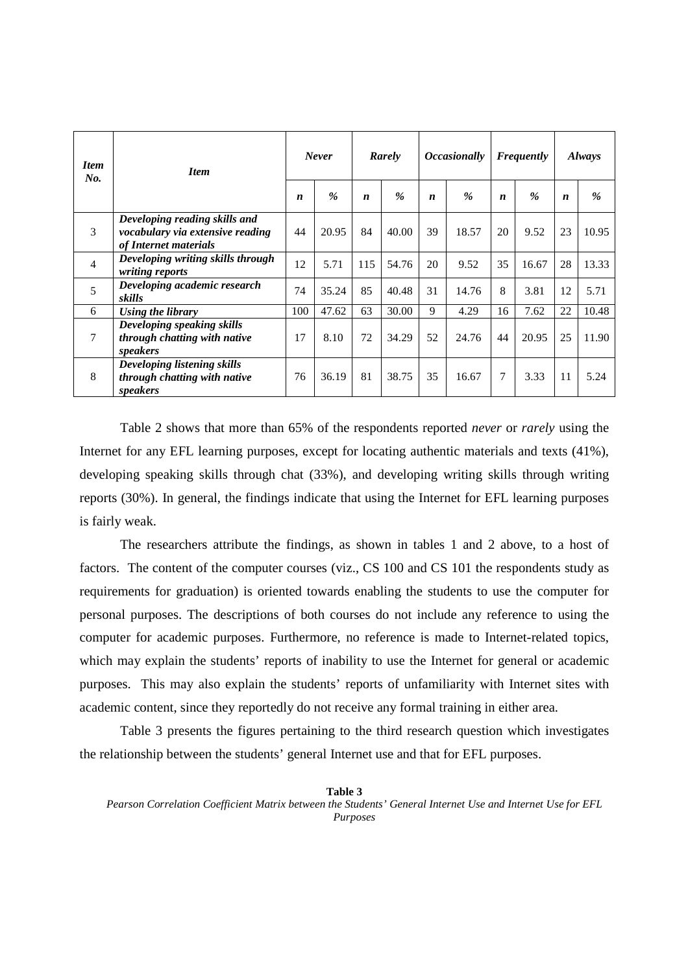| <b>Item</b><br>No. | <b>Item</b>                                                                                |                  | <b>Never</b>  |                  | Rarely | <i><b>Occasionally</b></i><br><b>Frequently</b> |               |                  |               | <i>Always</i>    |       |
|--------------------|--------------------------------------------------------------------------------------------|------------------|---------------|------------------|--------|-------------------------------------------------|---------------|------------------|---------------|------------------|-------|
|                    |                                                                                            | $\boldsymbol{n}$ | $\frac{6}{2}$ | $\boldsymbol{n}$ | $\%$   | $\boldsymbol{n}$                                | $\frac{6}{6}$ | $\boldsymbol{n}$ | $\frac{6}{6}$ | $\boldsymbol{n}$ | $\%$  |
| $\mathcal{E}$      | Developing reading skills and<br>vocabulary via extensive reading<br>of Internet materials | 44               | 20.95         | 84               | 40.00  | 39                                              | 18.57         | 20               | 9.52          | 23               | 10.95 |
| $\overline{4}$     | Developing writing skills through<br>writing reports                                       | 12               | 5.71          | 115              | 54.76  | 20                                              | 9.52          | 35               | 16.67         | 28               | 13.33 |
| $\overline{5}$     | Developing academic research<br>skills                                                     | 74               | 35.24         | 85               | 40.48  | 31                                              | 14.76         | 8                | 3.81          | 12               | 5.71  |
| 6                  | Using the library                                                                          | 100              | 47.62         | 63               | 30.00  | 9                                               | 4.29          | 16               | 7.62          | 22               | 10.48 |
| $\tau$             | Developing speaking skills<br>through chatting with native<br>speakers                     | 17               | 8.10          | 72               | 34.29  | 52                                              | 24.76         | 44               | 20.95         | 25               | 11.90 |
| 8                  | Developing listening skills<br>through chatting with native<br>speakers                    | 76               | 36.19         | 81               | 38.75  | 35                                              | 16.67         | 7                | 3.33          | 11               | 5.24  |

Table 2 shows that more than 65% of the respondents reported *never* or *rarely* using the Internet for any EFL learning purposes, except for locating authentic materials and texts (41%), developing speaking skills through chat (33%), and developing writing skills through writing reports (30%). In general, the findings indicate that using the Internet for EFL learning purposes is fairly weak.

The researchers attribute the findings, as shown in tables 1 and 2 above, to a host of factors. The content of the computer courses (viz., CS 100 and CS 101 the respondents study as requirements for graduation) is oriented towards enabling the students to use the computer for personal purposes. The descriptions of both courses do not include any reference to using the computer for academic purposes. Furthermore, no reference is made to Internet-related topics, which may explain the students' reports of inability to use the Internet for general or academic purposes. This may also explain the students' reports of unfamiliarity with Internet sites with academic content, since they reportedly do not receive any formal training in either area.

Table 3 presents the figures pertaining to the third research question which investigates the relationship between the students' general Internet use and that for EFL purposes.

**Table 3** 

*Pearson Correlation Coefficient Matrix between the Students' General Internet Use and Internet Use for EFL Purposes*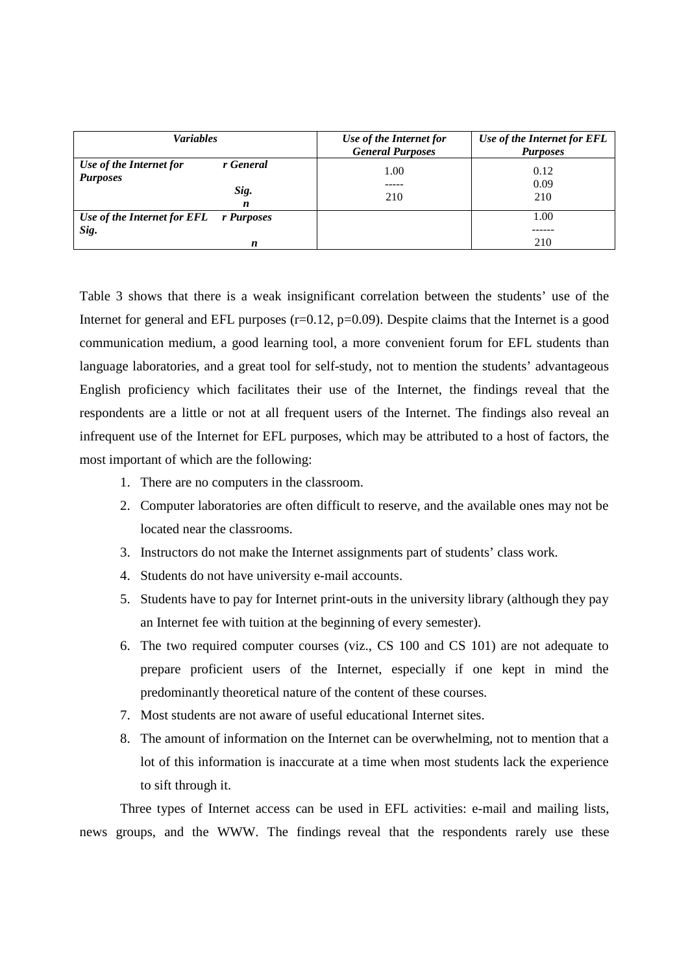| <b>Variables</b>                                                     | Use of the Internet for<br><b>General Purposes</b> | Use of the Internet for EFL<br><b>Purposes</b> |
|----------------------------------------------------------------------|----------------------------------------------------|------------------------------------------------|
| Use of the Internet for<br>r General<br><b>Purposes</b><br>Sig.<br>n | 1.00<br>210                                        | 0.12<br>0.09<br>210                            |
| Use of the Internet for EFL r Purposes<br>Sig.<br>n                  |                                                    | 1.00<br>210                                    |

Table 3 shows that there is a weak insignificant correlation between the students' use of the Internet for general and EFL purposes  $(r=0.12, p=0.09)$ . Despite claims that the Internet is a good communication medium, a good learning tool, a more convenient forum for EFL students than language laboratories, and a great tool for self-study, not to mention the students' advantageous English proficiency which facilitates their use of the Internet, the findings reveal that the respondents are a little or not at all frequent users of the Internet. The findings also reveal an infrequent use of the Internet for EFL purposes, which may be attributed to a host of factors, the most important of which are the following:

- 1. There are no computers in the classroom.
- 2. Computer laboratories are often difficult to reserve, and the available ones may not be located near the classrooms.
- 3. Instructors do not make the Internet assignments part of students' class work.
- 4. Students do not have university e-mail accounts.
- 5. Students have to pay for Internet print-outs in the university library (although they pay an Internet fee with tuition at the beginning of every semester).
- 6. The two required computer courses (viz., CS 100 and CS 101) are not adequate to prepare proficient users of the Internet, especially if one kept in mind the predominantly theoretical nature of the content of these courses.
- 7. Most students are not aware of useful educational Internet sites.
- 8. The amount of information on the Internet can be overwhelming, not to mention that a lot of this information is inaccurate at a time when most students lack the experience to sift through it.

Three types of Internet access can be used in EFL activities: e-mail and mailing lists, news groups, and the WWW. The findings reveal that the respondents rarely use these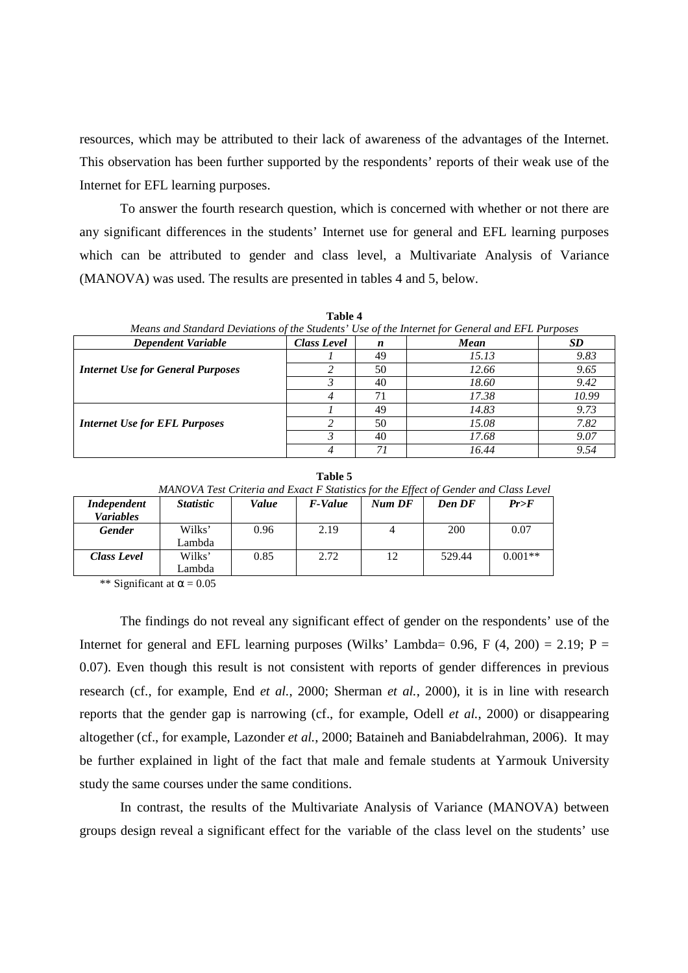resources, which may be attributed to their lack of awareness of the advantages of the Internet. This observation has been further supported by the respondents' reports of their weak use of the Internet for EFL learning purposes.

To answer the fourth research question, which is concerned with whether or not there are any significant differences in the students' Internet use for general and EFL learning purposes which can be attributed to gender and class level, a Multivariate Analysis of Variance (MANOVA) was used. The results are presented in tables 4 and 5, below.

| Means and Standard Deviations of the Students' Use of the Internet for General and EFL Purposes |                    |    |             |       |  |  |  |  |  |
|-------------------------------------------------------------------------------------------------|--------------------|----|-------------|-------|--|--|--|--|--|
| <b>Dependent Variable</b>                                                                       | <b>Class Level</b> | n  | <b>Mean</b> | SD    |  |  |  |  |  |
|                                                                                                 |                    | 49 | 15.13       | 9.83  |  |  |  |  |  |
| <b>Internet Use for General Purposes</b>                                                        |                    | 50 | 12.66       | 9.65  |  |  |  |  |  |
|                                                                                                 |                    | 40 | 18.60       | 9.42  |  |  |  |  |  |
|                                                                                                 |                    | 71 | 17.38       | 10.99 |  |  |  |  |  |
|                                                                                                 |                    | 49 | 14.83       | 9.73  |  |  |  |  |  |
| <b>Internet Use for EFL Purposes</b>                                                            |                    | 50 | 15.08       | 7.82  |  |  |  |  |  |
|                                                                                                 |                    | 40 | 17.68       | 9.07  |  |  |  |  |  |
|                                                                                                 |                    | 7i | 16.44       | 9.54  |  |  |  |  |  |

**Table 4** 

| Table 5                                                                              |
|--------------------------------------------------------------------------------------|
| MANOVA Test Criteria and Exact F Statistics for the Effect of Gender and Class Level |
|                                                                                      |

| <i>Independent</i> | <i>Statistic</i> | Value | <b>F-Value</b> | Num DF | Den DF | Pr>F      |
|--------------------|------------------|-------|----------------|--------|--------|-----------|
| <i>Variables</i>   |                  |       |                |        |        |           |
| <b>Gender</b>      | Wilks'           | 0.96  | 2.19           |        | 200    | 0.07      |
|                    | Lambda           |       |                |        |        |           |
| Class Level        | Wilks'           | 0.85  | 2.72           | 12     | 529.44 | $0.001**$ |
|                    | Lambda           |       |                |        |        |           |

\*\* Significant at  $\alpha$  = 0.05

The findings do not reveal any significant effect of gender on the respondents' use of the Internet for general and EFL learning purposes (Wilks' Lambda=  $0.96$ , F  $(4, 200) = 2.19$ ; P = 0.07). Even though this result is not consistent with reports of gender differences in previous research (cf., for example, End *et al.*, 2000; Sherman *et al.*, 2000), it is in line with research reports that the gender gap is narrowing (cf., for example, Odell *et al.*, 2000) or disappearing altogether (cf., for example, Lazonder *et al.*, 2000; Bataineh and Baniabdelrahman, 2006). It may be further explained in light of the fact that male and female students at Yarmouk University study the same courses under the same conditions.

In contrast, the results of the Multivariate Analysis of Variance (MANOVA) between groups design reveal a significant effect for the variable of the class level on the students' use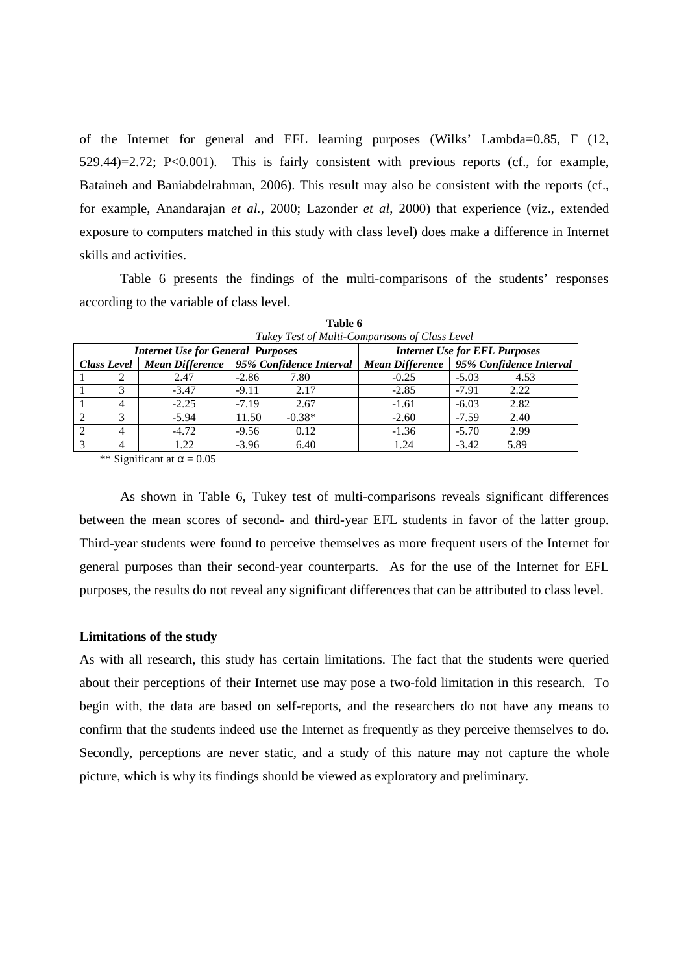of the Internet for general and EFL learning purposes (Wilks' Lambda=0.85, F (12, 529.44)=2.72; P<0.001). This is fairly consistent with previous reports (cf., for example, Bataineh and Baniabdelrahman, 2006). This result may also be consistent with the reports (cf., for example, Anandarajan *et al.*, 2000; Lazonder *et al*, 2000) that experience (viz., extended exposure to computers matched in this study with class level) does make a difference in Internet skills and activities.

Table 6 presents the findings of the multi-comparisons of the students' responses according to the variable of class level.

|                | Tukey Test of Multi-Comparisons of Class Level |                                          |         |                                                                              |         |         |      |  |  |  |  |
|----------------|------------------------------------------------|------------------------------------------|---------|------------------------------------------------------------------------------|---------|---------|------|--|--|--|--|
|                |                                                | <b>Internet Use for General Purposes</b> |         | <b>Internet Use for EFL Purposes</b>                                         |         |         |      |  |  |  |  |
|                | <b>Class Level</b>                             | Mean Difference                          |         | 95% Confidence Interval<br>95% Confidence Interval<br><b>Mean Difference</b> |         |         |      |  |  |  |  |
|                | ◠                                              | 2.47                                     | $-2.86$ | 7.80                                                                         | $-0.25$ | $-5.03$ | 4.53 |  |  |  |  |
|                | 3                                              | $-3.47$                                  | $-9.11$ | 2.17                                                                         | $-2.85$ | $-7.91$ | 2.22 |  |  |  |  |
|                |                                                | $-2.25$                                  | $-7.19$ | 2.67                                                                         | $-1.61$ | $-6.03$ | 2.82 |  |  |  |  |
|                |                                                | $-5.94$                                  | 11.50   | $-0.38*$                                                                     | $-2.60$ | $-7.59$ | 2.40 |  |  |  |  |
| $\overline{c}$ |                                                | $-4.72$                                  | $-9.56$ | 0.12                                                                         | $-1.36$ | $-5.70$ | 2.99 |  |  |  |  |
| 3              |                                                | 1.22                                     | $-3.96$ | 6.40                                                                         | 1.24    | $-3.42$ | 5.89 |  |  |  |  |

**Table 6** 

\*\* Significant at  $\alpha$  = 0.05

As shown in Table 6, Tukey test of multi-comparisons reveals significant differences between the mean scores of second- and third-year EFL students in favor of the latter group. Third-year students were found to perceive themselves as more frequent users of the Internet for general purposes than their second-year counterparts. As for the use of the Internet for EFL purposes, the results do not reveal any significant differences that can be attributed to class level.

## **Limitations of the study**

As with all research, this study has certain limitations. The fact that the students were queried about their perceptions of their Internet use may pose a two-fold limitation in this research. To begin with, the data are based on self-reports, and the researchers do not have any means to confirm that the students indeed use the Internet as frequently as they perceive themselves to do. Secondly, perceptions are never static, and a study of this nature may not capture the whole picture, which is why its findings should be viewed as exploratory and preliminary.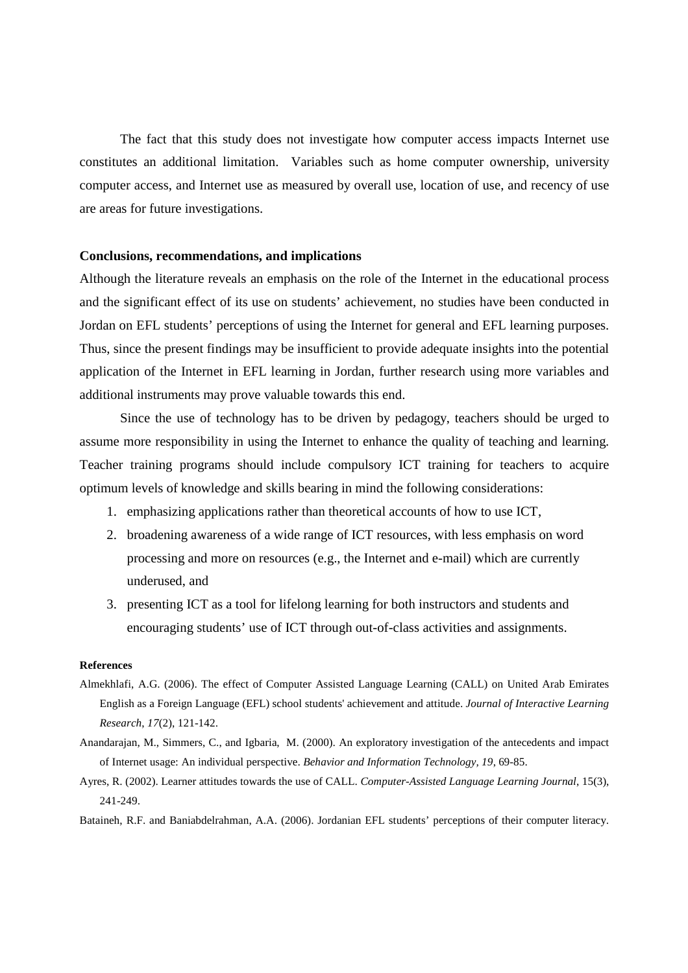The fact that this study does not investigate how computer access impacts Internet use constitutes an additional limitation. Variables such as home computer ownership, university computer access, and Internet use as measured by overall use, location of use, and recency of use are areas for future investigations.

#### **Conclusions, recommendations, and implications**

Although the literature reveals an emphasis on the role of the Internet in the educational process and the significant effect of its use on students' achievement, no studies have been conducted in Jordan on EFL students' perceptions of using the Internet for general and EFL learning purposes. Thus, since the present findings may be insufficient to provide adequate insights into the potential application of the Internet in EFL learning in Jordan, further research using more variables and additional instruments may prove valuable towards this end.

Since the use of technology has to be driven by pedagogy, teachers should be urged to assume more responsibility in using the Internet to enhance the quality of teaching and learning. Teacher training programs should include compulsory ICT training for teachers to acquire optimum levels of knowledge and skills bearing in mind the following considerations:

- 1. emphasizing applications rather than theoretical accounts of how to use ICT,
- 2. broadening awareness of a wide range of ICT resources, with less emphasis on word processing and more on resources (e.g., the Internet and e-mail) which are currently underused, and
- 3. presenting ICT as a tool for lifelong learning for both instructors and students and encouraging students' use of ICT through out-of-class activities and assignments.

#### **References**

- Almekhlafi, A.G. (2006). The effect of Computer Assisted Language Learning (CALL) on United Arab Emirates English as a Foreign Language (EFL) school students' achievement and attitude. *Journal of Interactive Learning Research*, *17*(2), 121-142.
- Anandarajan, M., Simmers, C., and Igbaria, M. (2000). An exploratory investigation of the antecedents and impact of Internet usage: An individual perspective. *Behavior and Information Technology, 19*, 69-85.
- Ayres, R. (2002). Learner attitudes towards the use of CALL. *Computer-Assisted Language Learning Journal*, 15(3), 241-249.
- Bataineh, R.F. and Baniabdelrahman, A.A. (2006). Jordanian EFL students' perceptions of their computer literacy.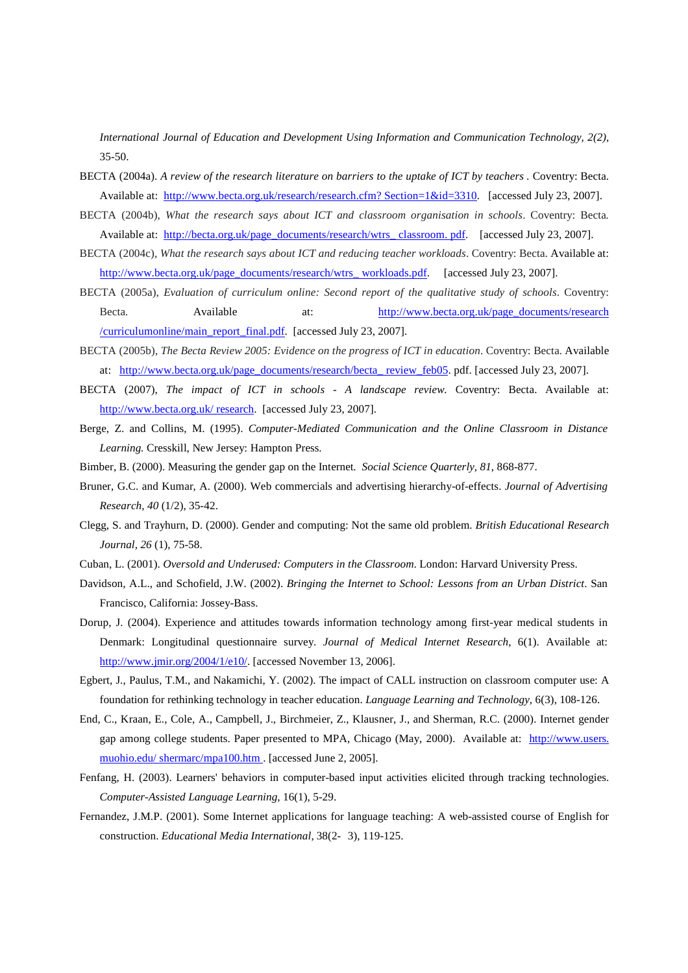*International Journal of Education and Development Using Information and Communication Technology, 2(2),*  35-50.

- BECTA (2004a). A review of the research literature on barriers to the uptake of ICT by teachers . Coventry: Becta. Available at: http://www.becta.org.uk/research/research.cfm? Section=1&id=3310. [accessed July 23, 2007].
- BECTA (2004b), *What the research says about ICT and classroom organisation in schools*. Coventry: Becta*.*  Available at: http://becta.org.uk/page\_documents/research/wtrs\_classroom. pdf. [accessed July 23, 2007].
- BECTA (2004c), *What the research says about ICT and reducing teacher workloads*. Coventry: Becta. Available at: http://www.becta.org.uk/page\_documents/research/wtrs\_ workloads.pdf. [accessed July 23, 2007].
- BECTA (2005a), *Evaluation of curriculum online: Second report of the qualitative study of schools*. Coventry: Becta. **Available** at: http://www.becta.org.uk/page\_documents/research /curriculumonline/main\_report\_final.pdf. [accessed July 23, 2007].
- BECTA (2005b), *The Becta Review 2005: Evidence on the progress of ICT in education*. Coventry: Becta. Available at: http://www.becta.org.uk/page\_documents/research/becta\_ review\_feb05. pdf. [accessed July 23, 2007].
- BECTA (2007), *The impact of ICT in schools A landscape review.* Coventry: Becta. Available at: http://www.becta.org.uk/ research. [accessed July 23, 2007].
- Berge, Z. and Collins, M. (1995). *Computer-Mediated Communication and the Online Classroom in Distance Learning.* Cresskill, New Jersey: Hampton Press.
- Bimber, B. (2000). Measuring the gender gap on the Internet. *Social Science Quarterly, 81*, 868-877.
- Bruner, G.C. and Kumar, A. (2000). Web commercials and advertising hierarchy-of-effects. *Journal of Advertising Research*, *40* (1/2), 35-42.
- Clegg, S. and Trayhurn, D. (2000). Gender and computing: Not the same old problem. *British Educational Research Journal, 26* (1), 75-58.
- Cuban, L. (2001). *Oversold and Underused: Computers in the Classroom*. London: Harvard University Press.
- Davidson, A.L., and Schofield, J.W. (2002). *Bringing the Internet to School: Lessons from an Urban District*. San Francisco, California: Jossey-Bass.
- Dorup, J. (2004). Experience and attitudes towards information technology among first-year medical students in Denmark: Longitudinal questionnaire survey. *Journal of Medical Internet Research*, 6(1). Available at: http://www.jmir.org/2004/1/e10/. [accessed November 13, 2006].
- Egbert, J., Paulus, T.M., and Nakamichi, Y. (2002). The impact of CALL instruction on classroom computer use: A foundation for rethinking technology in teacher education. *Language Learning and Technology*, 6(3), 108-126.
- End, C., Kraan, E., Cole, A., Campbell, J., Birchmeier, Z., Klausner, J., and Sherman, R.C. (2000). Internet gender gap among college students. Paper presented to MPA, Chicago (May, 2000). Available at: http://www.users. muohio.edu/ shermarc/mpa100.htm . [accessed June 2, 2005].
- Fenfang, H. (2003). Learners' behaviors in computer-based input activities elicited through tracking technologies. *Computer-Assisted Language Learning*, 16(1), 5-29.
- Fernandez, J.M.P. (2001). Some Internet applications for language teaching: A web-assisted course of English for construction. *Educational Media International*, 38(2- 3), 119-125.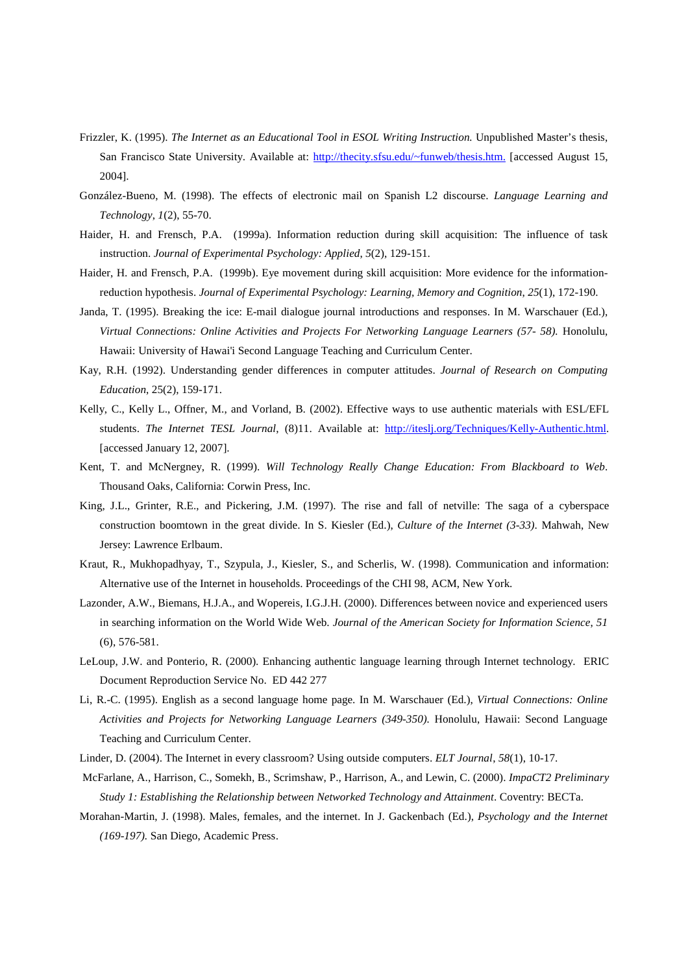- Frizzler, K. (1995). *The Internet as an Educational Tool in ESOL Writing Instruction.* Unpublished Master's thesis, San Francisco State University. Available at: http://thecity.sfsu.edu/~funweb/thesis.htm. [accessed August 15, 2004].
- González-Bueno, M. (1998). The effects of electronic mail on Spanish L2 discourse. *Language Learning and Technology*, *1*(2), 55-70.
- Haider, H. and Frensch, P.A. (1999a). Information reduction during skill acquisition: The influence of task instruction. *Journal of Experimental Psychology: Applied*, *5*(2), 129-151.
- Haider, H. and Frensch, P.A. (1999b). Eye movement during skill acquisition: More evidence for the informationreduction hypothesis. *Journal of Experimental Psychology: Learning, Memory and Cognition*, *25*(1), 172-190.
- Janda, T. (1995). Breaking the ice: E-mail dialogue journal introductions and responses. In M. Warschauer (Ed.), *Virtual Connections: Online Activities and Projects For Networking Language Learners (57- 58).* Honolulu, Hawaii: University of Hawai'i Second Language Teaching and Curriculum Center.
- Kay, R.H. (1992). Understanding gender differences in computer attitudes. *Journal of Research on Computing Education*, 25(2), 159-171.
- Kelly, C., Kelly L., Offner, M., and Vorland, B. (2002). Effective ways to use authentic materials with ESL/EFL students. *The Internet TESL Journal*, (8)11. Available at: http://iteslj.org/Techniques/Kelly-Authentic.html. [accessed January 12, 2007].
- Kent, T. and McNergney, R. (1999). *Will Technology Really Change Education: From Blackboard to Web*. Thousand Oaks, California: Corwin Press, Inc.
- King, J.L., Grinter, R.E., and Pickering, J.M. (1997). The rise and fall of netville: The saga of a cyberspace construction boomtown in the great divide. In S. Kiesler (Ed.), *Culture of the Internet (3-33)*. Mahwah, New Jersey: Lawrence Erlbaum.
- Kraut, R., Mukhopadhyay, T., Szypula, J., Kiesler, S., and Scherlis, W. (1998). Communication and information: Alternative use of the Internet in households. Proceedings of the CHI 98, ACM, New York.
- Lazonder, A.W., Biemans, H.J.A., and Wopereis, I.G.J.H. (2000). Differences between novice and experienced users in searching information on the World Wide Web. *Journal of the American Society for Information Science*, *51* (6), 576-581.
- LeLoup, J.W. and Ponterio, R. (2000). Enhancing authentic language learning through Internet technology. ERIC Document Reproduction Service No. ED 442 277
- Li, R.-C. (1995). English as a second language home page. In M. Warschauer (Ed.), *Virtual Connections: Online Activities and Projects for Networking Language Learners (349-350).* Honolulu, Hawaii: Second Language Teaching and Curriculum Center.
- Linder, D. (2004). The Internet in every classroom? Using outside computers. *ELT Journal*, *58*(1), 10-17.
- McFarlane, A., Harrison, C., Somekh, B., Scrimshaw, P., Harrison, A., and Lewin, C. (2000). *ImpaCT2 Preliminary Study 1: Establishing the Relationship between Networked Technology and Attainment*. Coventry: BECTa.
- Morahan-Martin, J. (1998). Males, females, and the internet. In J. Gackenbach (Ed.), *Psychology and the Internet (169-197).* San Diego, Academic Press.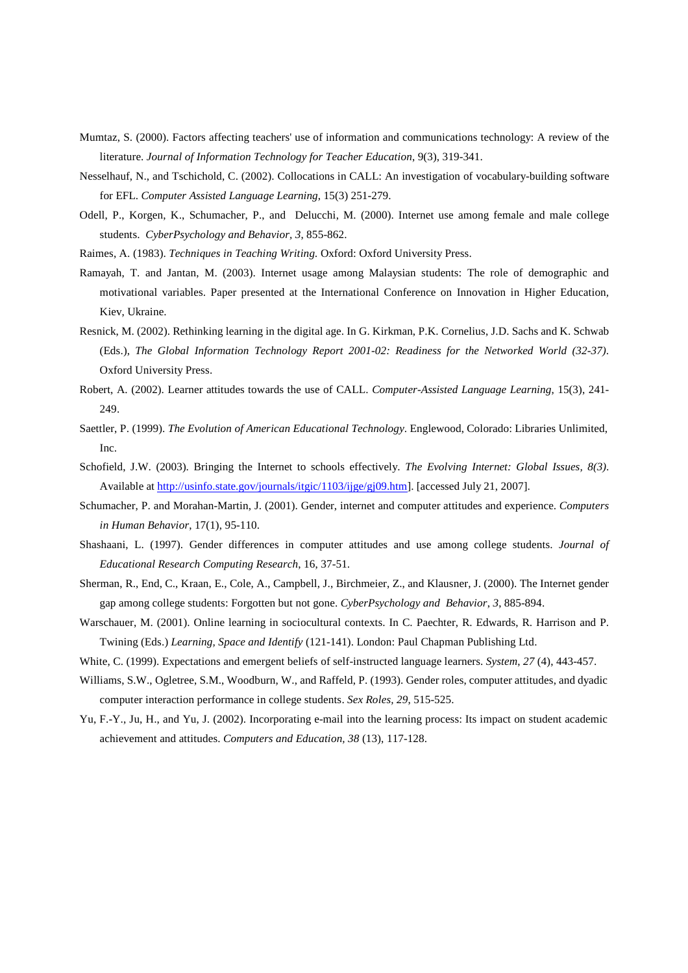- Mumtaz, S. (2000). Factors affecting teachers' use of information and communications technology: A review of the literature. *Journal of Information Technology for Teacher Education*, 9(3), 319-341.
- Nesselhauf, N., and Tschichold, C. (2002). Collocations in CALL: An investigation of vocabulary-building software for EFL. *Computer Assisted Language Learning*, 15(3) 251-279.
- Odell, P., Korgen, K., Schumacher, P., and Delucchi, M. (2000). Internet use among female and male college students. *CyberPsychology and Behavior, 3*, 855-862.
- Raimes, A. (1983). *Techniques in Teaching Writing.* Oxford: Oxford University Press.
- Ramayah, T. and Jantan, M. (2003). Internet usage among Malaysian students: The role of demographic and motivational variables. Paper presented at the International Conference on Innovation in Higher Education*,*  Kiev, Ukraine.
- Resnick, M. (2002). Rethinking learning in the digital age. In G. Kirkman, P.K. Cornelius, J.D. Sachs and K. Schwab (Eds.), *The Global Information Technology Report 2001-02: Readiness for the Networked World (32-37)*. Oxford University Press.
- Robert, A. (2002). Learner attitudes towards the use of CALL. *Computer-Assisted Language Learning*, 15(3), 241- 249.
- Saettler, P. (1999). *The Evolution of American Educational Technology*. Englewood, Colorado: Libraries Unlimited, Inc.
- Schofield, J.W. (2003). Bringing the Internet to schools effectively. *The Evolving Internet: Global Issues, 8(3)*. Available at http://usinfo.state.gov/journals/itgic/1103/ijge/gj09.htm]. [accessed July 21, 2007].
- Schumacher, P. and Morahan-Martin, J. (2001). Gender, internet and computer attitudes and experience. *Computers in Human Behavior*, 17(1), 95-110.
- Shashaani, L. (1997). Gender differences in computer attitudes and use among college students. *Journal of Educational Research Computing Research*, 16, 37-51.
- Sherman, R., End, C., Kraan, E., Cole, A., Campbell, J., Birchmeier, Z., and Klausner, J. (2000). The Internet gender gap among college students: Forgotten but not gone. *CyberPsychology and Behavior*, *3*, 885-894.
- Warschauer, M. (2001). Online learning in sociocultural contexts. In C. Paechter, R. Edwards, R. Harrison and P. Twining (Eds.) *Learning, Space and Identify* (121-141). London: Paul Chapman Publishing Ltd.
- White, C. (1999). Expectations and emergent beliefs of self-instructed language learners. *System*, *27* (4), 443-457.
- Williams, S.W., Ogletree, S.M., Woodburn, W., and Raffeld, P. (1993). Gender roles, computer attitudes, and dyadic computer interaction performance in college students. *Sex Roles, 29*, 515-525.
- Yu, F.-Y., Ju, H., and Yu, J. (2002). Incorporating e-mail into the learning process: Its impact on student academic achievement and attitudes. *Computers and Education, 38* (13), 117-128.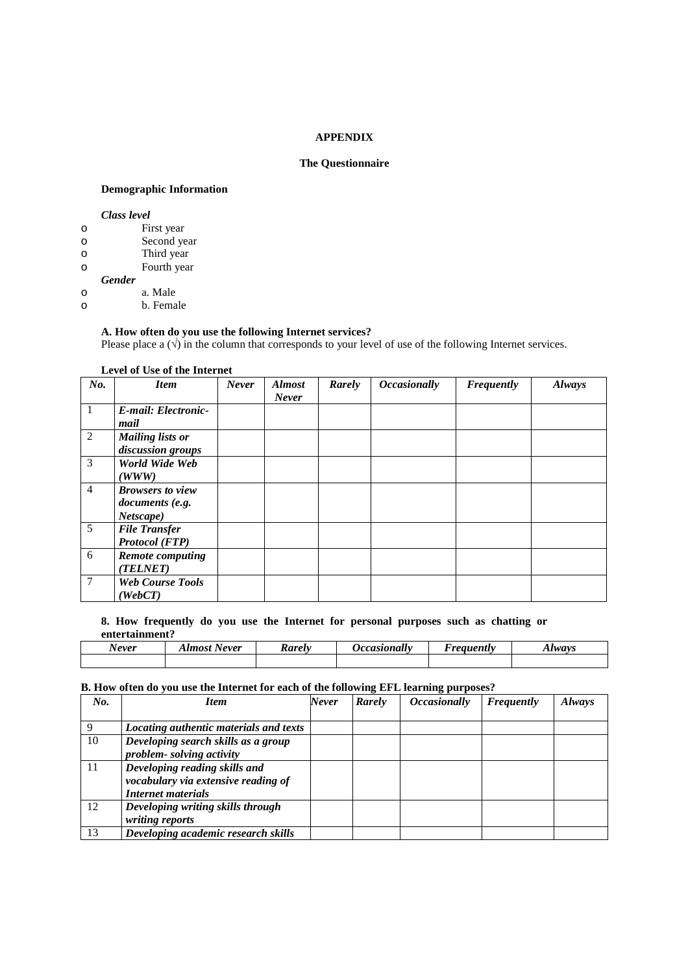#### **APPENDIX**

## **The Questionnaire**

## **Demographic Information**

#### *Class level*

| O |               | First year  |
|---|---------------|-------------|
| O |               | Second year |
| O |               | Third year  |
| O |               | Fourth year |
|   | <b>Gender</b> |             |

# o a. Male

o b. Female

## **A. How often do you use the following Internet services?**

Please place a  $(\sqrt{)}$  in the column that corresponds to your level of use of the following Internet services.

#### **Level of Use of the Internet**

| No.            | <b>Item</b>                                             | <b>Never</b> | <b>Almost</b><br><b>Never</b> | Rarely | <b>Occasionally</b> | <b>Frequently</b> | <b>Always</b> |
|----------------|---------------------------------------------------------|--------------|-------------------------------|--------|---------------------|-------------------|---------------|
| $\vert$ 1      | E-mail: Electronic-<br>mail                             |              |                               |        |                     |                   |               |
| 2              | <b>Mailing lists or</b><br>discussion groups            |              |                               |        |                     |                   |               |
| 3              | World Wide Web<br>(WWW)                                 |              |                               |        |                     |                   |               |
| $\overline{4}$ | <b>Browsers to view</b><br>documents (e.g.<br>Netscape) |              |                               |        |                     |                   |               |
| 5              | <b>File Transfer</b><br><b>Protocol</b> (FTP)           |              |                               |        |                     |                   |               |
| 6              | <b>Remote computing</b><br>(TELNET)                     |              |                               |        |                     |                   |               |
| 7              | <b>Web Course Tools</b><br>(WebCT)                      |              |                               |        |                     |                   |               |

#### **8. How frequently do you use the Internet for personal purposes such as chatting or entertainment?**

| . .<br><b>Never</b> | $Alm$ ost<br>Never<br>,,,,, | <b>Rarely</b> | <i><b>Jccasionally</b></i> | Freauently | lways |
|---------------------|-----------------------------|---------------|----------------------------|------------|-------|
|                     |                             |               |                            |            |       |

#### **B. How often do you use the Internet for each of the following EFL learning purposes?**

| No. | <b>Item</b>                            | Never | Rarely | <i><b>Occasionally</b></i> | Frequently | Always |
|-----|----------------------------------------|-------|--------|----------------------------|------------|--------|
|     |                                        |       |        |                            |            |        |
|     | Locating authentic materials and texts |       |        |                            |            |        |
| 10  | Developing search skills as a group    |       |        |                            |            |        |
|     | problem-solving activity               |       |        |                            |            |        |
| 11  | Developing reading skills and          |       |        |                            |            |        |
|     | vocabulary via extensive reading of    |       |        |                            |            |        |
|     | <b>Internet materials</b>              |       |        |                            |            |        |
| 12  | Developing writing skills through      |       |        |                            |            |        |
|     | writing reports                        |       |        |                            |            |        |
| 13  | Developing academic research skills    |       |        |                            |            |        |